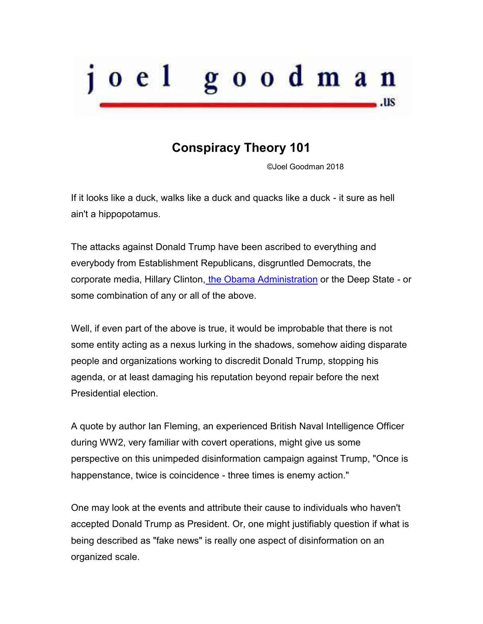

## **Conspiracy Theory 101**

©Joel Goodman 2018

If it looks like a duck, walks like a duck and quacks like a duck - it sure as hell ain't a hippopotamus.

The attacks against Donald Trump have been ascribed to everything and everybody from Establishment Republicans, disgruntled Democrats, the corporate media, Hillary Clinton[, the Obama Administration](http://freebeacon.com/politics/obama-admin-loyalists-government-insiders-sabotage-trump-white-house/) or the Deep State - or some combination of any or all of the above.

Well, if even part of the above is true, it would be improbable that there is not some entity acting as a nexus lurking in the shadows, somehow aiding disparate people and organizations working to discredit Donald Trump, stopping his agenda, or at least damaging his reputation beyond repair before the next Presidential election.

A quote by author Ian Fleming, an experienced British Naval Intelligence Officer during WW2, very familiar with covert operations, might give us some perspective on this unimpeded disinformation campaign against Trump, "Once is happenstance, twice is coincidence - three times is enemy action."

One may look at the events and attribute their cause to individuals who haven't accepted Donald Trump as President. Or, one might justifiably question if what is being described as "fake news" is really one aspect of disinformation on an organized scale.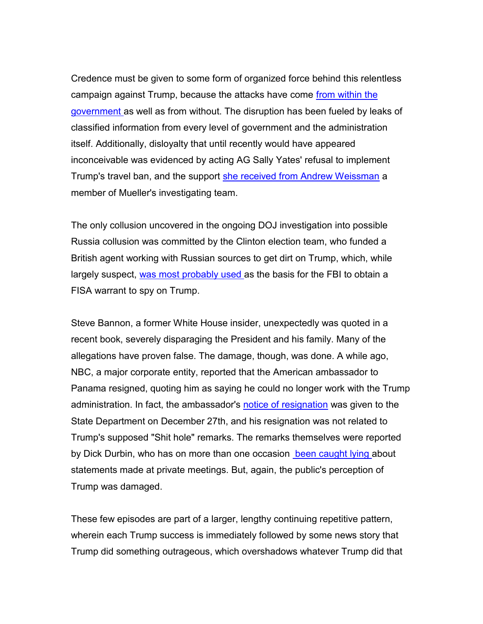Credence must be given to some form of organized force behind this relentless campaign against Trump, because the attacks have come from within the [government a](http://freebeacon.com/politics/obama-admin-loyalists-government-insiders-sabotage-trump-white-house/)s well as from without. The disruption has been fueled by leaks of classified information from every level of government and the administration itself. Additionally, disloyalty that until recently would have appeared inconceivable was evidenced by acting AG Sally Yates' refusal to implement Trump's travel ban, and the support [she received from Andrew Weissman](http://www.breitbart.com/big-government/2017/12/05/robert-muellers-deputy-gushed-over-sally-yates-refusal-to-enforce-trump-travel-ban-i-am-so-proud/) a member of Mueller's investigating team.

The only collusion uncovered in the ongoing DOJ investigation into possible Russia collusion was committed by the Clinton election team, who funded a British agent working with Russian sources to get dirt on Trump, which, while largely suspect, [was most probably used a](http://www.nationalreview.com/article/454909/trump-russia-collusion-fbi-investigation-steele-dossier-hillary-clinton-campaign)s the basis for the FBI to obtain a FISA warrant to spy on Trump.

Steve Bannon, a former White House insider, unexpectedly was quoted in a recent book, severely disparaging the President and his family. Many of the allegations have proven false. The damage, though, was done. A while ago, NBC, a major corporate entity, reported that the American ambassador to Panama resigned, quoting him as saying he could no longer work with the Trump administration. In fact, the ambassador's [notice of resignation](https://townhall.com/tipsheet/mattvespa/2018/01/13/fake-news-no-msnbc-producer-a-u-s-diplomat-didnt-resigned-because-of-trumps-n2433838) was given to the State Department on December 27th, and his resignation was not related to Trump's supposed "Shit hole" remarks. The remarks themselves were reported by Dick Durbin, who has on more than one occasion [been caught lying a](https://townhall.com/tipsheet/mattvespa/2018/01/12/flashback-that-time-dick-durbin-made-up-a-story-about-a-gop-leader-insulting-pre-n2433826)bout statements made at private meetings. But, again, the public's perception of Trump was damaged.

These few episodes are part of a larger, lengthy continuing repetitive pattern, wherein each Trump success is immediately followed by some news story that Trump did something outrageous, which overshadows whatever Trump did that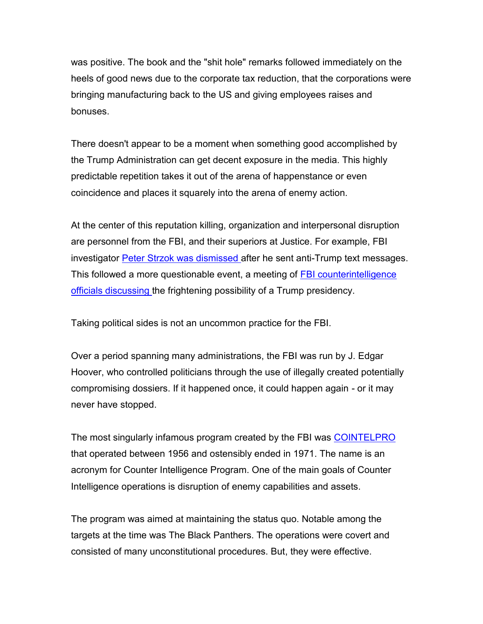was positive. The book and the "shit hole" remarks followed immediately on the heels of good news due to the corporate tax reduction, that the corporations were bringing manufacturing back to the US and giving employees raises and bonuses.

There doesn't appear to be a moment when something good accomplished by the Trump Administration can get decent exposure in the media. This highly predictable repetition takes it out of the arena of happenstance or even coincidence and places it squarely into the arena of enemy action.

At the center of this reputation killing, organization and interpersonal disruption are personnel from the FBI, and their superiors at Justice. For example, FBI investigator **Peter Strzok was dismissed after he sent anti-Trump text messages.** This followed a more questionable event, a meeting of [FBI counterintelligence](http://www.nationalreview.com/article/454909/trump-russia-collusion-fbi-investigation-steele-dossier-hillary-clinton-campaign)  [officials discussing t](http://www.nationalreview.com/article/454909/trump-russia-collusion-fbi-investigation-steele-dossier-hillary-clinton-campaign)he frightening possibility of a Trump presidency.

Taking political sides is not an uncommon practice for the FBI.

Over a period spanning many administrations, the FBI was run by J. Edgar Hoover, who controlled politicians through the use of illegally created potentially compromising dossiers. If it happened once, it could happen again - or it may never have stopped.

The most singularly infamous program created by the FBI was [COINTELPRO](https://en.wikipedia.org/wiki/COINTELPRO) that operated between 1956 and ostensibly ended in 1971. The name is an acronym for Counter Intelligence Program. One of the main goals of Counter Intelligence operations is disruption of enemy capabilities and assets.

The program was aimed at maintaining the status quo. Notable among the targets at the time was The Black Panthers. The operations were covert and consisted of many unconstitutional procedures. But, they were effective.